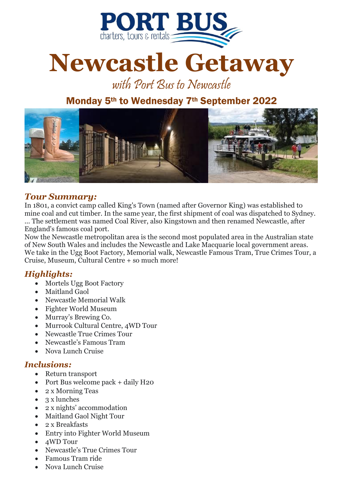

# **Newcastle Getaway**

with Port Bus to Newcastle

## Monday 5th to Wednesday 7th September 2022



#### *Tour Summary:*

In 1801, a convict camp called King's Town (named after Governor King) was established to mine coal and cut timber. In the same year, the first shipment of coal was dispatched to Sydney. ... The settlement was named Coal River, also Kingstown and then renamed Newcastle, after England's famous coal port.

Now the Newcastle metropolitan area is the second most populated area in the Australian state of New South Wales and includes the Newcastle and Lake Macquarie local government areas. We take in the Ugg Boot Factory, Memorial walk, Newcastle Famous Tram, True Crimes Tour, a Cruise, Museum, Cultural Centre + so much more!

#### *Highlights:*

- Mortels Ugg Boot Factory
- Maitland Gaol
- Newcastle Memorial Walk
- Fighter World Museum
- Murray's Brewing Co.
- Murrook Cultural Centre, 4WD Tour
- Newcastle True Crimes Tour
- Newcastle's Famous Tram
- Nova Lunch Cruise

#### *Inclusions:*

- Return transport
- Port Bus welcome pack + daily H20
- 2 x Morning Teas
- 3 x lunches
- 2 x nights' accommodation
- Maitland Gaol Night Tour
- 2 x Breakfasts
- Entry into Fighter World Museum
- 4WD Tour
- Newcastle's True Crimes Tour
- Famous Tram ride
- Nova Lunch Cruise